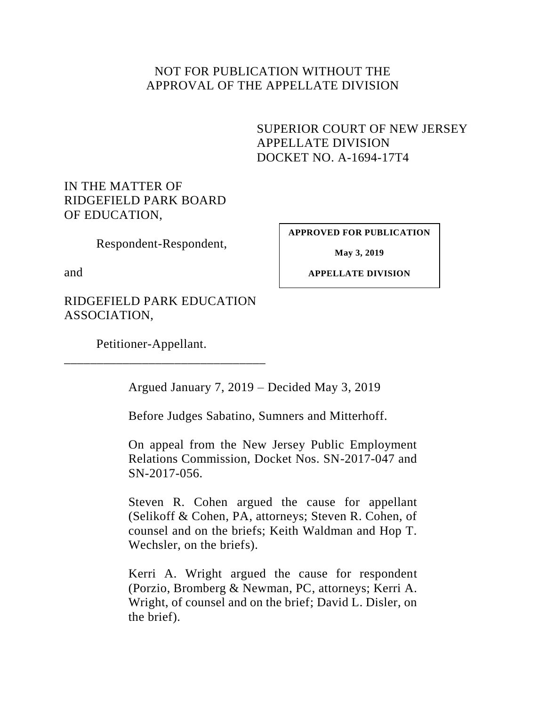## NOT FOR PUBLICATION WITHOUT THE APPROVAL OF THE APPELLATE DIVISION

# <span id="page-0-0"></span>SUPERIOR COURT OF NEW JERSEY APPELLATE DIVISION DOCKET NO. A-1694-17T4

# IN THE MATTER OF RIDGEFIELD PARK BOARD OF EDUCATION,

Respondent-Respondent,

**APPROVED FOR PUBLICATION**

and

**May 3, 2019**

**APPELLATE DIVISION**

RIDGEFIELD PARK EDUCATION ASSOCIATION,

\_\_\_\_\_\_\_\_\_\_\_\_\_\_\_\_\_\_\_\_\_\_\_\_\_\_\_\_\_\_\_

Petitioner-Appellant.

Argued January 7, 2019 – Decided May 3, 2019

Before Judges Sabatino, Sumners and Mitterhoff.

On appeal from the New Jersey Public Employment Relations Commission, Docket Nos. SN-2017-047 and SN-2017-056.

Steven R. Cohen argued the cause for appellant (Selikoff & Cohen, PA, attorneys; Steven R. Cohen, of counsel and on the briefs; Keith Waldman and Hop T. Wechsler, on the briefs).

Kerri A. Wright argued the cause for respondent (Porzio, Bromberg & Newman, PC, attorneys; Kerri A. Wright, of counsel and on the brief; David L. Disler, on the brief).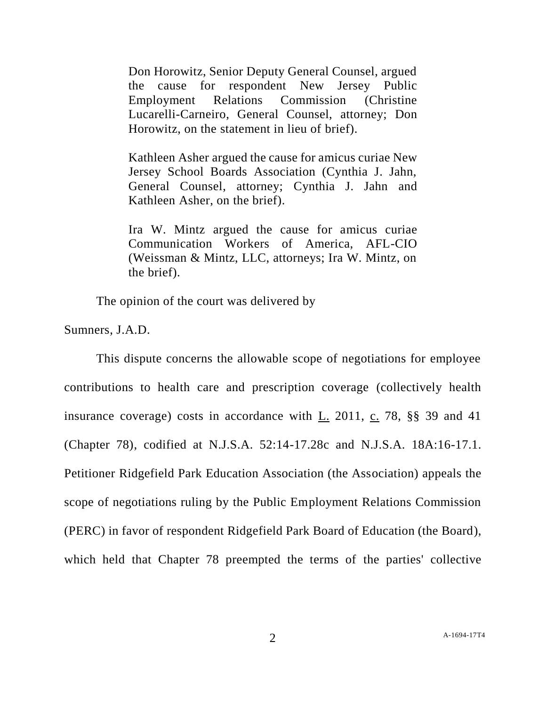Don Horowitz, Senior Deputy General Counsel, argued the cause for respondent New Jersey Public Employment Relations Commission (Christine Lucarelli-Carneiro, General Counsel, attorney; Don Horowitz, on the statement in lieu of brief).

Kathleen Asher argued the cause for amicus curiae New Jersey School Boards Association (Cynthia J. Jahn, General Counsel, attorney; Cynthia J. Jahn and Kathleen Asher, on the brief).

Ira W. Mintz argued the cause for amicus curiae Communication Workers of America, AFL-CIO (Weissman & Mintz, LLC, attorneys; Ira W. Mintz, on the brief).

The opinion of the court was delivered by

Sumners, J.A.D.

This dispute concerns the allowable scope of negotiations for employee contributions to health care and prescription coverage (collectively health insurance coverage) costs in accordance with L. 2011, c. 78, §§ 39 and 41 (Chapter 78), codified at N.J.S.A. 52:14-17.28c and N.J.S.A. 18A:16-17.1. Petitioner Ridgefield Park Education Association (the Association) appeals the scope of negotiations ruling by the Public Employment Relations Commission (PERC) in favor of respondent Ridgefield Park Board of Education (the Board), which held that Chapter 78 preempted the terms of the parties' collective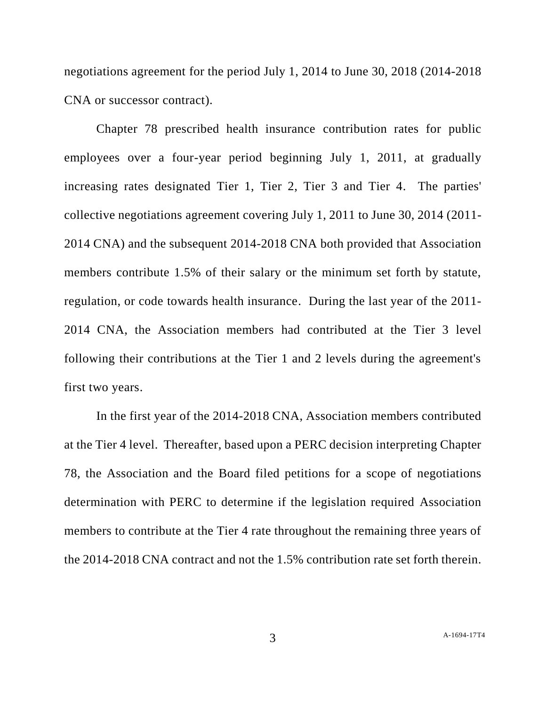negotiations agreement for the period July 1, 2014 to June 30, 2018 (2014-2018 CNA or successor contract).

Chapter 78 prescribed health insurance contribution rates for public employees over a four-year period beginning July 1, 2011, at gradually increasing rates designated Tier 1, Tier 2, Tier 3 and Tier 4. The parties' collective negotiations agreement covering July 1, 2011 to June 30, 2014 (2011- 2014 CNA) and the subsequent 2014-2018 CNA both provided that Association members contribute 1.5% of their salary or the minimum set forth by statute, regulation, or code towards health insurance. During the last year of the 2011- 2014 CNA, the Association members had contributed at the Tier 3 level following their contributions at the Tier 1 and 2 levels during the agreement's first two years.

In the first year of the 2014-2018 CNA, Association members contributed at the Tier 4 level. Thereafter, based upon a PERC decision interpreting Chapter 78, the Association and the Board filed petitions for a scope of negotiations determination with PERC to determine if the legislation required Association members to contribute at the Tier 4 rate throughout the remaining three years of the 2014-2018 CNA contract and not the 1.5% contribution rate set forth therein.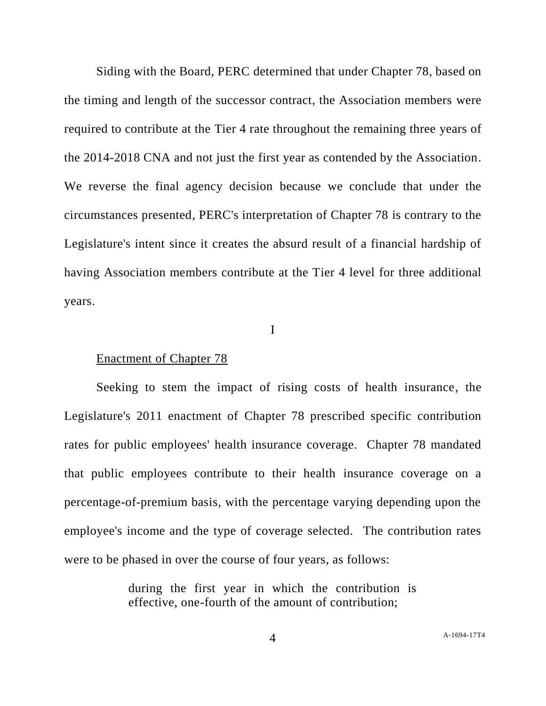Siding with the Board, PERC determined that under Chapter 78, based on the timing and length of the successor contract, the Association members were required to contribute at the Tier 4 rate throughout the remaining three years of the 2014-2018 CNA and not just the first year as contended by the Association. We reverse the final agency decision because we conclude that under the circumstances presented, PERC's interpretation of Chapter 78 is contrary to the Legislature's intent since it creates the absurd result of a financial hardship of having Association members contribute at the Tier 4 level for three additional years.

I

#### Enactment of Chapter 78

Seeking to stem the impact of rising costs of health insurance, the Legislature's 2011 enactment of Chapter 78 prescribed specific contribution rates for public employees' health insurance coverage. Chapter 78 mandated that public employees contribute to their health insurance coverage on a percentage-of-premium basis, with the percentage varying depending upon the employee's income and the type of coverage selected. The contribution rates were to be phased in over the course of four years, as follows:

> during the first year in which the contribution is effective, one-fourth of the amount of contribution;

4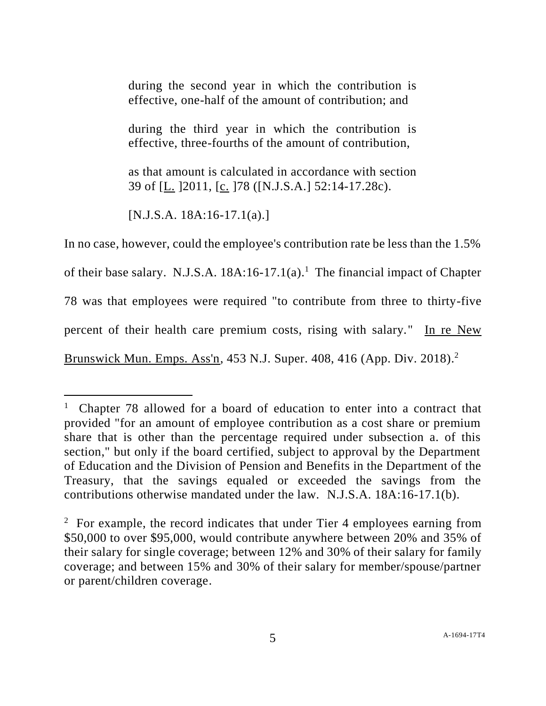during the second year in which the contribution is effective, one-half of the amount of contribution; and

during the third year in which the contribution is effective, three-fourths of the amount of contribution,

as that amount is calculated in accordance with section 39 of [L. ]2011, [c. ]78 ([N.J.S.A.] 52:14-17.28c).

 $[N.J.S.A. 18A:16-17.1(a).]$ 

 $\overline{a}$ 

In no case, however, could the employee's contribution rate be less than the 1.5% of their base salary. N.J.S.A.  $18A:16-17.1(a)$ .<sup>1</sup> The financial impact of Chapter 78 was that employees were required "to contribute from three to thirty-five percent of their health care premium costs, rising with salary." In re New Brunswick Mun. Emps. Ass'n, 453 N.J. Super. 408, 416 (App. Div. 2018).<sup>2</sup>

<sup>1</sup> Chapter 78 allowed for a board of education to enter into a contract that provided "for an amount of employee contribution as a cost share or premium share that is other than the percentage required under subsection a. of this section," but only if the board certified, subject to approval by the Department of Education and the Division of Pension and Benefits in the Department of the Treasury, that the savings equaled or exceeded the savings from the contributions otherwise mandated under the law. N.J.S.A. 18A:16-17.1(b).

<sup>&</sup>lt;sup>2</sup> For example, the record indicates that under Tier 4 employees earning from \$50,000 to over \$95,000, would contribute anywhere between 20% and 35% of their salary for single coverage; between 12% and 30% of their salary for family coverage; and between 15% and 30% of their salary for member/spouse/partner or parent/children coverage.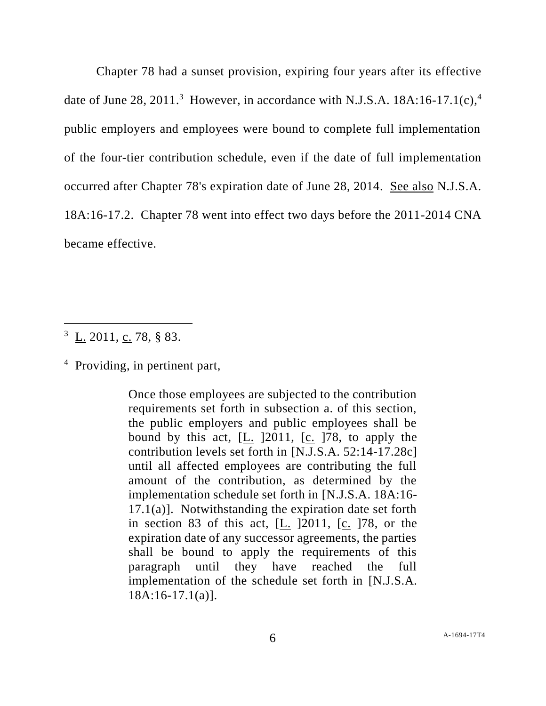Chapter 78 had a sunset provision, expiring four years after its effective date of June 28, 2011.<sup>3</sup> However, in accordance with N.J.S.A. 18A:16-17.1(c),<sup>4</sup> public employers and employees were bound to complete full implementation of the four-tier contribution schedule, even if the date of full implementation occurred after Chapter 78's expiration date of June 28, 2014. See also N.J.S.A. 18A:16-17.2. Chapter 78 went into effect two days before the 2011-2014 CNA became effective.

l

Once those employees are subjected to the contribution requirements set forth in subsection a. of this section, the public employers and public employees shall be bound by this act, [L. ]2011, [c. ]78, to apply the contribution levels set forth in [N.J.S.A. 52:14-17.28c] until all affected employees are contributing the full amount of the contribution, as determined by the implementation schedule set forth in [N.J.S.A. 18A:16-  $17.1(a)$ ]. Notwithstanding the expiration date set forth in section 83 of this act, [L. ]2011, [c. ]78, or the expiration date of any successor agreements, the parties shall be bound to apply the requirements of this paragraph until they have reached the full implementation of the schedule set forth in [N.J.S.A. 18A:16-17.1(a)].

 $\frac{3}{\text{L}}$   $\frac{1}{2011}$ , c. 78, § 83.

<sup>&</sup>lt;sup>4</sup> Providing, in pertinent part,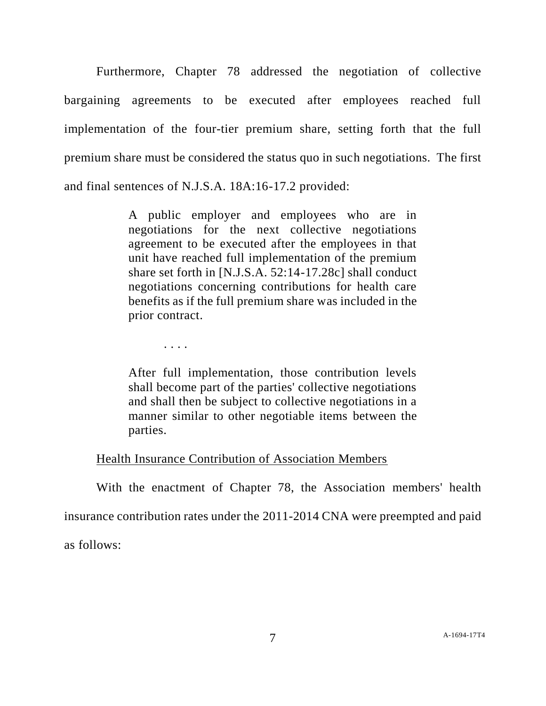Furthermore, Chapter 78 addressed the negotiation of collective bargaining agreements to be executed after employees reached full implementation of the four-tier premium share, setting forth that the full premium share must be considered the status quo in such negotiations. The first and final sentences of N.J.S.A. 18A:16-17.2 provided:

> A public employer and employees who are in negotiations for the next collective negotiations agreement to be executed after the employees in that unit have reached full implementation of the premium share set forth in [N.J.S.A. 52:14-17.28c] shall conduct negotiations concerning contributions for health care benefits as if the full premium share was included in the prior contract.

> > . . . .

After full implementation, those contribution levels shall become part of the parties' collective negotiations and shall then be subject to collective negotiations in a manner similar to other negotiable items between the parties.

## Health Insurance Contribution of Association Members

With the enactment of Chapter 78, the Association members' health

insurance contribution rates under the 2011-2014 CNA were preempted and paid

as follows: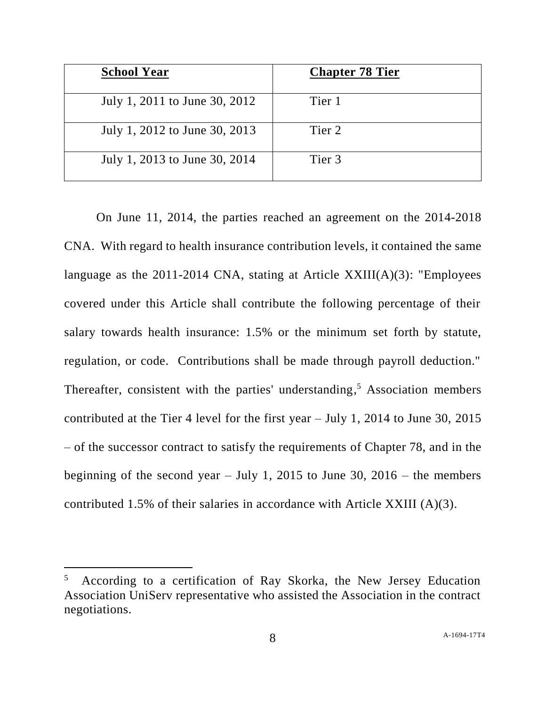| <b>School Year</b>            | <b>Chapter 78 Tier</b> |
|-------------------------------|------------------------|
| July 1, 2011 to June 30, 2012 | Tier 1                 |
| July 1, 2012 to June 30, 2013 | Tier 2                 |
| July 1, 2013 to June 30, 2014 | Tier 3                 |

On June 11, 2014, the parties reached an agreement on the 2014-2018 CNA. With regard to health insurance contribution levels, it contained the same language as the 2011-2014 CNA, stating at Article  $XXIII(A)(3)$ : "Employees covered under this Article shall contribute the following percentage of their salary towards health insurance: 1.5% or the minimum set forth by statute, regulation, or code. Contributions shall be made through payroll deduction." Thereafter, consistent with the parties' understanding,<sup>5</sup> Association members contributed at the Tier 4 level for the first year – July 1, 2014 to June 30, 2015 – of the successor contract to satisfy the requirements of Chapter 78, and in the beginning of the second year – July 1, 2015 to June 30, 2016 – the members contributed 1.5% of their salaries in accordance with Article XXIII (A)(3).

l

<sup>5</sup> According to a certification of Ray Skorka, the New Jersey Education Association UniServ representative who assisted the Association in the contract negotiations.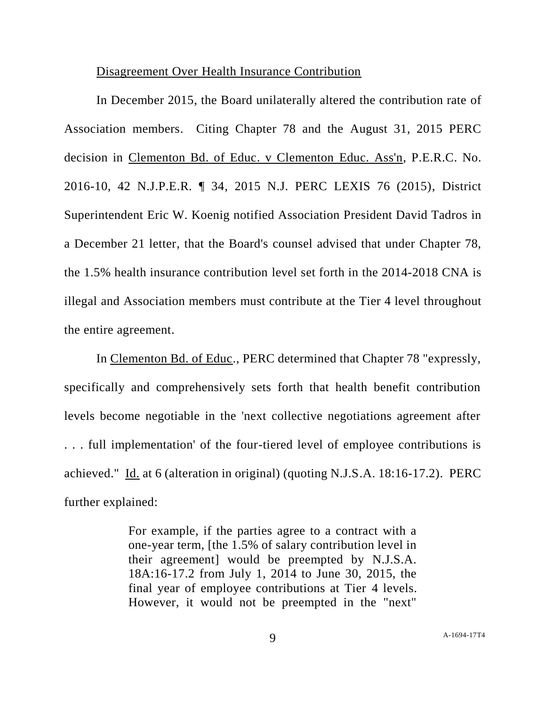### Disagreement Over Health Insurance Contribution

In December 2015, the Board unilaterally altered the contribution rate of Association members. Citing Chapter 78 and the August 31, 2015 PERC decision in Clementon Bd. of Educ. v Clementon Educ. Ass'n, P.E.R.C. No. 2016-10, 42 N.J.P.E.R. ¶ 34, 2015 N.J. PERC LEXIS 76 (2015), District Superintendent Eric W. Koenig notified Association President David Tadros in a December 21 letter, that the Board's counsel advised that under Chapter 78, the 1.5% health insurance contribution level set forth in the 2014-2018 CNA is illegal and Association members must contribute at the Tier 4 level throughout the entire agreement.

In Clementon Bd. of Educ., PERC determined that Chapter 78 "expressly, specifically and comprehensively sets forth that health benefit contribution levels become negotiable in the 'next collective negotiations agreement after . . . full implementation' of the four-tiered level of employee contributions is achieved." Id. at 6 (alteration in original) (quoting N.J.S.A. 18:16-17.2). PERC further explained:

> For example, if the parties agree to a contract with a one-year term, [the 1.5% of salary contribution level in their agreement] would be preempted by N.J.S.A. 18A:16-17.2 from July 1, 2014 to June 30, 2015, the final year of employee contributions at Tier 4 levels. However, it would not be preempted in the "next"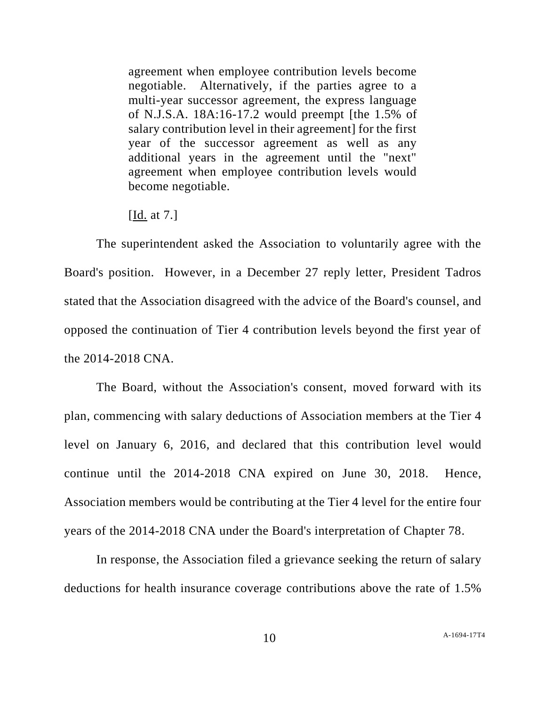agreement when employee contribution levels become negotiable. Alternatively, if the parties agree to a multi-year successor agreement, the express language of N.J.S.A. 18A:16-17.2 would preempt [the 1.5% of salary contribution level in their agreement] for the first year of the successor agreement as well as any additional years in the agreement until the "next" agreement when employee contribution levels would become negotiable.

[Id. at 7.]

The superintendent asked the Association to voluntarily agree with the Board's position. However, in a December 27 reply letter, President Tadros stated that the Association disagreed with the advice of the Board's counsel, and opposed the continuation of Tier 4 contribution levels beyond the first year of the 2014-2018 CNA.

The Board, without the Association's consent, moved forward with its plan, commencing with salary deductions of Association members at the Tier 4 level on January 6, 2016, and declared that this contribution level would continue until the 2014-2018 CNA expired on June 30, 2018. Hence, Association members would be contributing at the Tier 4 level for the entire four years of the 2014-2018 CNA under the Board's interpretation of Chapter 78.

In response, the Association filed a grievance seeking the return of salary deductions for health insurance coverage contributions above the rate of 1.5%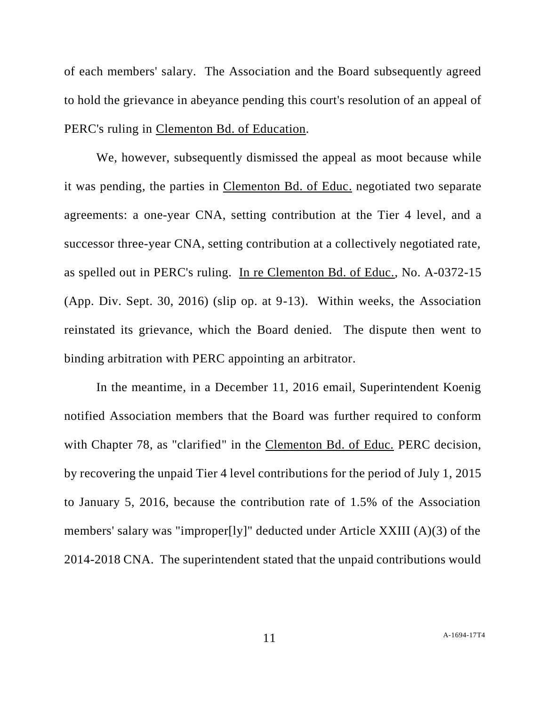of each members' salary. The Association and the Board subsequently agreed to hold the grievance in abeyance pending this court's resolution of an appeal of PERC's ruling in Clementon Bd. of Education.

We, however, subsequently dismissed the appeal as moot because while it was pending, the parties in Clementon Bd. of Educ. negotiated two separate agreements: a one-year CNA, setting contribution at the Tier 4 level, and a successor three-year CNA, setting contribution at a collectively negotiated rate, as spelled out in PERC's ruling. In re Clementon Bd. of Educ., No. A-0372-15 (App. Div. Sept. 30, 2016) (slip op. at 9-13). Within weeks, the Association reinstated its grievance, which the Board denied. The dispute then went to binding arbitration with PERC appointing an arbitrator.

In the meantime, in a December 11, 2016 email, Superintendent Koenig notified Association members that the Board was further required to conform with Chapter 78, as "clarified" in the Clementon Bd. of Educ. PERC decision, by recovering the unpaid Tier 4 level contributions for the period of July 1, 2015 to January 5, 2016, because the contribution rate of 1.5% of the Association members' salary was "improper[ly]" deducted under Article XXIII (A)(3) of the 2014-2018 CNA. The superintendent stated that the unpaid contributions would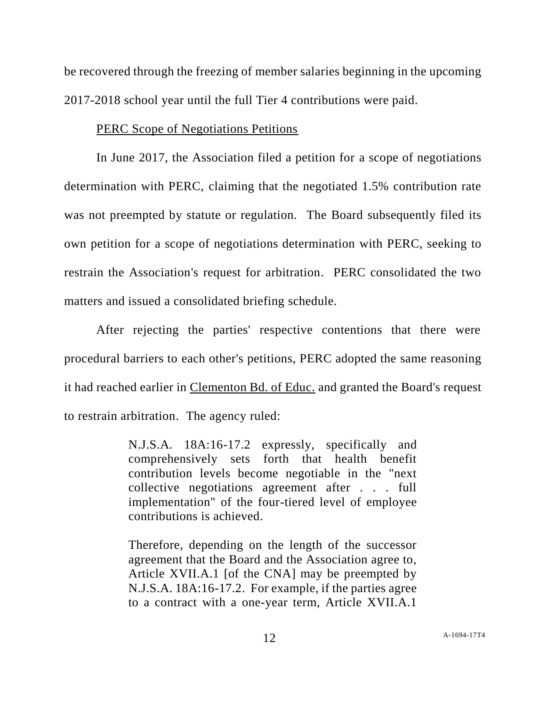be recovered through the freezing of member salaries beginning in the upcoming 2017-2018 school year until the full Tier 4 contributions were paid.

## PERC Scope of Negotiations Petitions

In June 2017, the Association filed a petition for a scope of negotiations determination with PERC, claiming that the negotiated 1.5% contribution rate was not preempted by statute or regulation. The Board subsequently filed its own petition for a scope of negotiations determination with PERC, seeking to restrain the Association's request for arbitration. PERC consolidated the two matters and issued a consolidated briefing schedule.

After rejecting the parties' respective contentions that there were procedural barriers to each other's petitions, PERC adopted the same reasoning it had reached earlier in Clementon Bd. of Educ. and granted the Board's request to restrain arbitration. The agency ruled:

> N.J.S.A. 18A:16-17.2 expressly, specifically and comprehensively sets forth that health benefit contribution levels become negotiable in the "next collective negotiations agreement after . . . full implementation" of the four-tiered level of employee contributions is achieved.

> Therefore, depending on the length of the successor agreement that the Board and the Association agree to, Article XVII.A.1 [of the CNA] may be preempted by N.J.S.A. 18A:16-17.2. For example, if the parties agree to a contract with a one-year term, Article XVII.A.1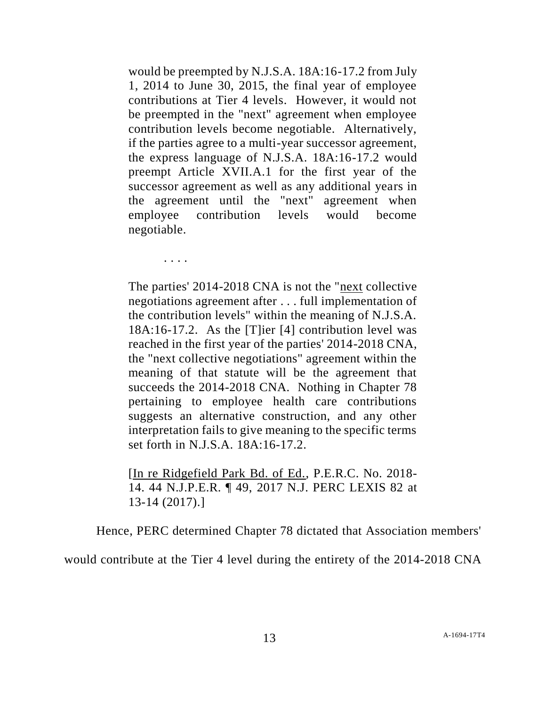would be preempted by N.J.S.A. 18A:16-17.2 from July 1, 2014 to June 30, 2015, the final year of employee contributions at Tier 4 levels. However, it would not be preempted in the "next" agreement when employee contribution levels become negotiable. Alternatively, if the parties agree to a multi-year successor agreement, the express language of N.J.S.A. 18A:16-17.2 would preempt Article XVII.A.1 for the first year of the successor agreement as well as any additional years in the agreement until the "next" agreement when employee contribution levels would become negotiable.

The parties' 2014-2018 CNA is not the "next collective negotiations agreement after . . . full implementation of the contribution levels" within the meaning of N.J.S.A. 18A:16-17.2. As the [T]ier [4] contribution level was reached in the first year of the parties' 2014-2018 CNA, the "next collective negotiations" agreement within the meaning of that statute will be the agreement that succeeds the 2014-2018 CNA. Nothing in Chapter 78 pertaining to employee health care contributions suggests an alternative construction, and any other interpretation fails to give meaning to the specific terms set forth in N.J.S.A. 18A:16-17.2.

. . . .

[In re Ridgefield Park Bd. of Ed., P.E.R.C. No. 2018- 14. 44 N.J.P.E.R. ¶ 49, 2017 N.J. PERC LEXIS 82 at 13-14 (2017).]

Hence, PERC determined Chapter 78 dictated that Association members'

would contribute at the Tier 4 level during the entirety of the 2014-2018 CNA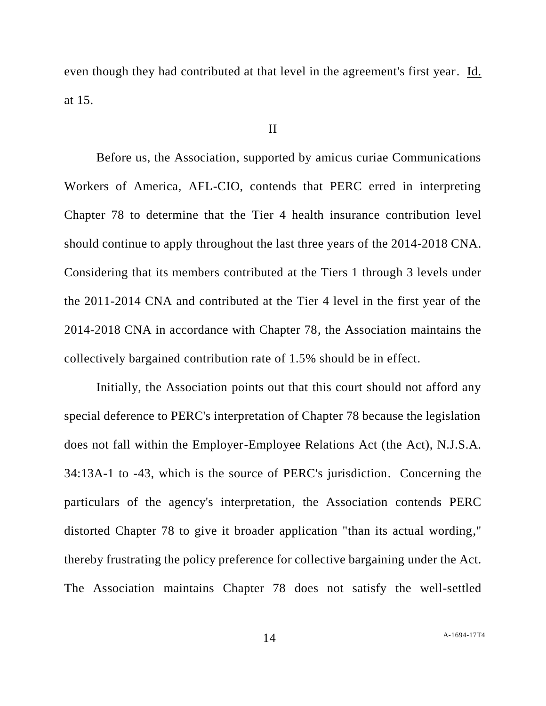even though they had contributed at that level in the agreement's first year. Id. at 15.

#### II

Before us, the Association, supported by amicus curiae Communications Workers of America, AFL-CIO, contends that PERC erred in interpreting Chapter 78 to determine that the Tier 4 health insurance contribution level should continue to apply throughout the last three years of the 2014-2018 CNA. Considering that its members contributed at the Tiers 1 through 3 levels under the 2011-2014 CNA and contributed at the Tier 4 level in the first year of the 2014-2018 CNA in accordance with Chapter 78, the Association maintains the collectively bargained contribution rate of 1.5% should be in effect.

Initially, the Association points out that this court should not afford any special deference to PERC's interpretation of Chapter 78 because the legislation does not fall within the Employer-Employee Relations Act (the Act), N.J.S.A. 34:13A-1 to -43, which is the source of PERC's jurisdiction. Concerning the particulars of the agency's interpretation, the Association contends PERC distorted Chapter 78 to give it broader application "than its actual wording," thereby frustrating the policy preference for collective bargaining under the Act. The Association maintains Chapter 78 does not satisfy the well-settled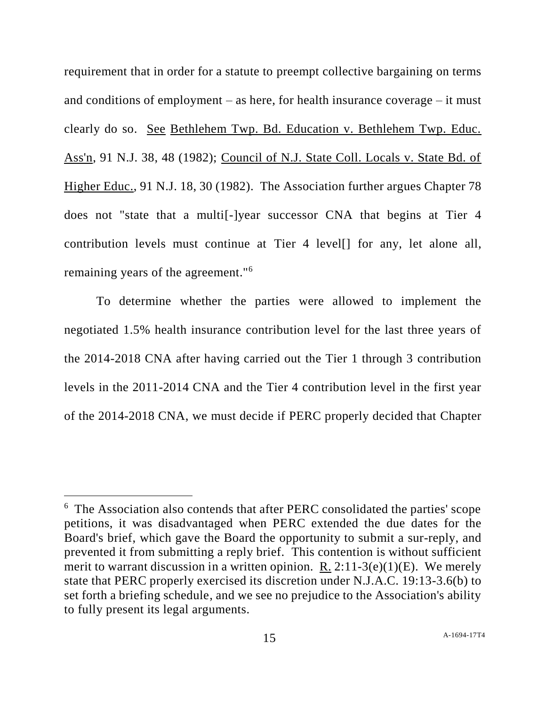requirement that in order for a statute to preempt collective bargaining on terms and conditions of employment – as here, for health insurance coverage – it must clearly do so. See Bethlehem Twp. Bd. Education v. Bethlehem Twp. Educ. Ass'n, 91 N.J. 38, 48 (1982); Council of N.J. State Coll. Locals v. State Bd. of Higher Educ., 91 N.J. 18, 30 (1982). The Association further argues Chapter 78 does not "state that a multi[-]year successor CNA that begins at Tier 4 contribution levels must continue at Tier 4 level[] for any, let alone all, remaining years of the agreement."<sup>6</sup>

To determine whether the parties were allowed to implement the negotiated 1.5% health insurance contribution level for the last three years of the 2014-2018 CNA after having carried out the Tier 1 through 3 contribution levels in the 2011-2014 CNA and the Tier 4 contribution level in the first year of the 2014-2018 CNA, we must decide if PERC properly decided that Chapter

l

<sup>&</sup>lt;sup>6</sup> The Association also contends that after PERC consolidated the parties' scope petitions, it was disadvantaged when PERC extended the due dates for the Board's brief, which gave the Board the opportunity to submit a sur-reply, and prevented it from submitting a reply brief. This contention is without sufficient merit to warrant discussion in a written opinion. R.  $2:11-3(e)(1)(E)$ . We merely state that PERC properly exercised its discretion under N.J.A.C. 19:13-3.6(b) to set forth a briefing schedule, and we see no prejudice to the Association's ability to fully present its legal arguments.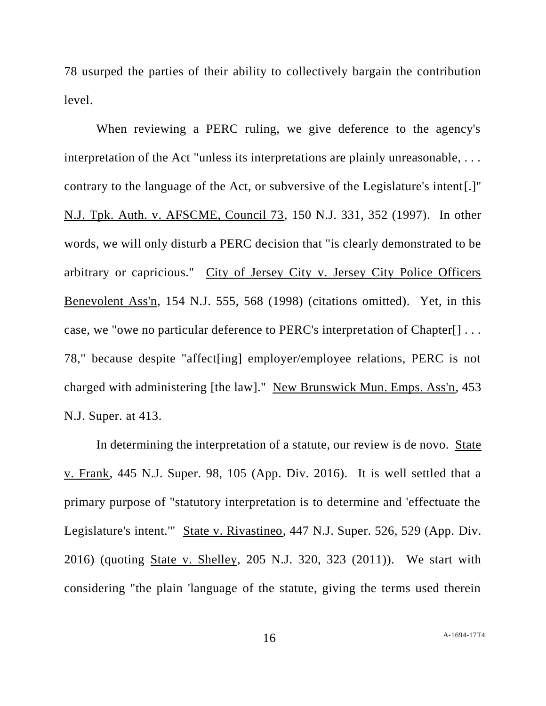78 usurped the parties of their ability to collectively bargain the contribution level.

When reviewing a PERC ruling, we give deference to the agency's interpretation of the Act "unless its interpretations are plainly unreasonable, . . . contrary to the language of the Act, or subversive of the Legislature's intent[.]" N.J. Tpk. Auth. v. AFSCME, Council 73, 150 N.J. 331, 352 (1997). In other words, we will only disturb a PERC decision that "is clearly demonstrated to be arbitrary or capricious." City of Jersey City v. Jersey City Police Officers Benevolent Ass'n, 154 N.J. 555, 568 (1998) (citations omitted). Yet, in this case, we "owe no particular deference to PERC's interpretation of Chapter[] . . . 78," because despite "affect[ing] employer/employee relations, PERC is not charged with administering [the law]." New Brunswick Mun. Emps. Ass'n, 453 N.J. Super. at 413.

In determining the interpretation of a statute, our review is de novo. State v. Frank, 445 N.J. Super. 98, 105 (App. Div. 2016). It is well settled that a primary purpose of "statutory interpretation is to determine and 'effectuate the Legislature's intent.'" State v. Rivastineo, 447 N.J. Super. 526, 529 (App. Div. 2016) (quoting State v. Shelley, 205 N.J. 320, 323 (2011)). We start with considering "the plain 'language of the statute, giving the terms used therein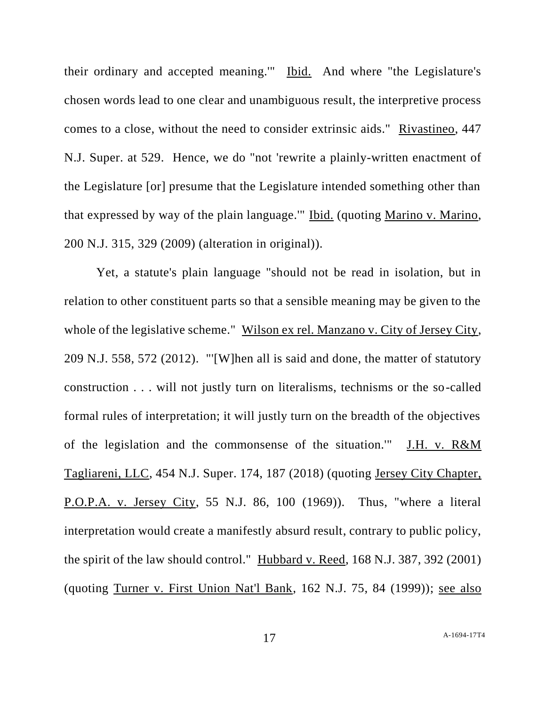their ordinary and accepted meaning.'" Ibid. And where "the Legislature's chosen words lead to one clear and unambiguous result, the interpretive process comes to a close, without the need to consider extrinsic aids." Rivastineo, 447 N.J. Super. at 529. Hence, we do "not 'rewrite a plainly-written enactment of the Legislature [or] presume that the Legislature intended something other than that expressed by way of the plain language.'" Ibid. (quoting Marino v. Marino, 200 N.J. 315, 329 (2009) (alteration in original)).

Yet, a statute's plain language "should not be read in isolation, but in relation to other constituent parts so that a sensible meaning may be given to the whole of the legislative scheme." Wilson ex rel. Manzano v. City of Jersey City, 209 N.J. 558, 572 (2012). "'[W]hen all is said and done, the matter of statutory construction . . . will not justly turn on literalisms, technisms or the so-called formal rules of interpretation; it will justly turn on the breadth of the objectives of the legislation and the commonsense of the situation.'" J.H. v. R&M Tagliareni, LLC, 454 N.J. Super. 174, 187 (2018) (quoting Jersey City Chapter, P.O.P.A. v. Jersey City, 55 N.J. 86, 100 (1969)). Thus, "where a literal interpretation would create a manifestly absurd result, contrary to public policy, the spirit of the law should control." Hubbard v. Reed, 168 N.J. 387, 392 (2001) (quoting Turner v. First Union Nat'l Bank, 162 N.J. 75, 84 (1999)); see also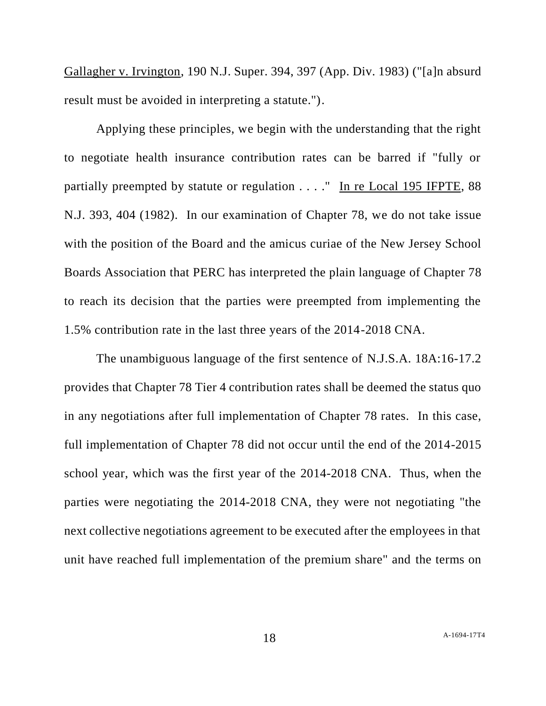Gallagher v. Irvington, 190 N.J. Super. 394, 397 (App. Div. 1983) ("[a]n absurd result must be avoided in interpreting a statute.").

Applying these principles, we begin with the understanding that the right to negotiate health insurance contribution rates can be barred if "fully or partially preempted by statute or regulation . . . ." In re Local 195 IFPTE, 88 N.J. 393, 404 (1982). In our examination of Chapter 78, we do not take issue with the position of the Board and the amicus curiae of the New Jersey School Boards Association that PERC has interpreted the plain language of Chapter 78 to reach its decision that the parties were preempted from implementing the 1.5% contribution rate in the last three years of the 2014-2018 CNA.

The unambiguous language of the first sentence of N.J.S.A. 18A:16-17.2 provides that Chapter 78 Tier 4 contribution rates shall be deemed the status quo in any negotiations after full implementation of Chapter 78 rates. In this case, full implementation of Chapter 78 did not occur until the end of the 2014-2015 school year, which was the first year of the 2014-2018 CNA. Thus, when the parties were negotiating the 2014-2018 CNA, they were not negotiating "the next collective negotiations agreement to be executed after the employees in that unit have reached full implementation of the premium share" and the terms on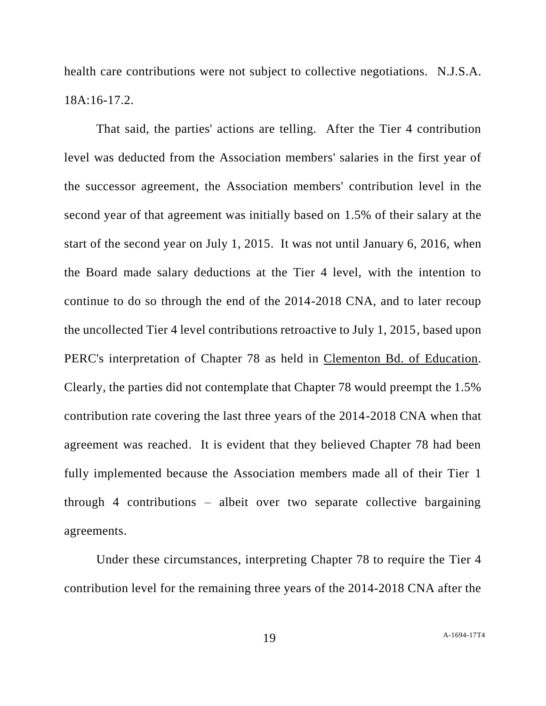health care contributions were not subject to collective negotiations. N.J.S.A. 18A:16-17.2.

That said, the parties' actions are telling. After the Tier 4 contribution level was deducted from the Association members' salaries in the first year of the successor agreement, the Association members' contribution level in the second year of that agreement was initially based on 1.5% of their salary at the start of the second year on July 1, 2015. It was not until January 6, 2016, when the Board made salary deductions at the Tier 4 level, with the intention to continue to do so through the end of the 2014-2018 CNA, and to later recoup the uncollected Tier 4 level contributions retroactive to July 1, 2015, based upon PERC's interpretation of Chapter 78 as held in Clementon Bd. of Education. Clearly, the parties did not contemplate that Chapter 78 would preempt the 1.5% contribution rate covering the last three years of the 2014-2018 CNA when that agreement was reached. It is evident that they believed Chapter 78 had been fully implemented because the Association members made all of their Tier 1 through 4 contributions – albeit over two separate collective bargaining agreements.

Under these circumstances, interpreting Chapter 78 to require the Tier 4 contribution level for the remaining three years of the 2014-2018 CNA after the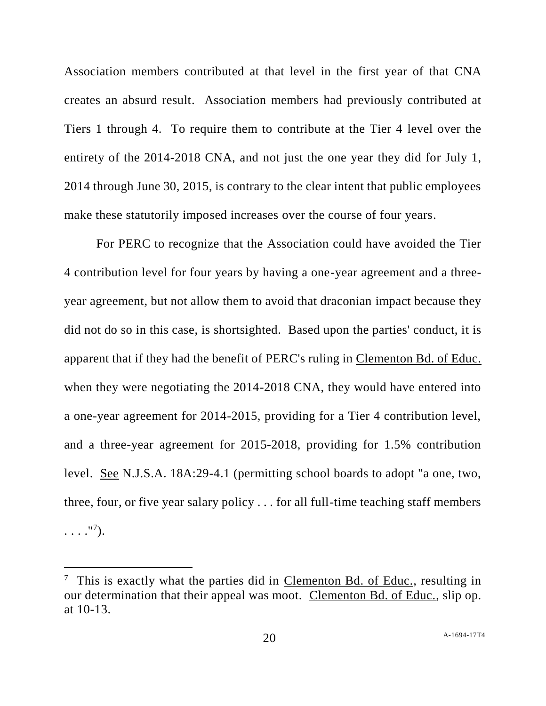Association members contributed at that level in the first year of that CNA creates an absurd result. Association members had previously contributed at Tiers 1 through 4. To require them to contribute at the Tier 4 level over the entirety of the 2014-2018 CNA, and not just the one year they did for July 1, 2014 through June 30, 2015, is contrary to the clear intent that public employees make these statutorily imposed increases over the course of four years.

For PERC to recognize that the Association could have avoided the Tier 4 contribution level for four years by having a one-year agreement and a threeyear agreement, but not allow them to avoid that draconian impact because they did not do so in this case, is shortsighted. Based upon the parties' conduct, it is apparent that if they had the benefit of PERC's ruling in Clementon Bd. of Educ. when they were negotiating the 2014-2018 CNA, they would have entered into a one-year agreement for 2014-2015, providing for a Tier 4 contribution level, and a three-year agreement for 2015-2018, providing for 1.5% contribution level. See N.J.S.A. 18A:29-4.1 (permitting school boards to adopt "a one, two, three, four, or five year salary policy . . . for all full-time teaching staff members  $\ldots$ ."<sup>7</sup>).

l

<sup>&</sup>lt;sup>7</sup> This is exactly what the parties did in Clementon Bd. of Educ., resulting in our determination that their appeal was moot. Clementon Bd. of Educ., slip op. at 10-13.